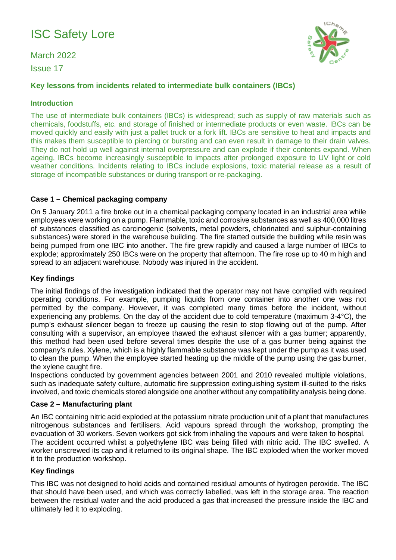# ISC Safety Lore

March 2022 Issue 17



# **Key lessons from incidents related to intermediate bulk containers (IBCs)**

## **Introduction**

The use of intermediate bulk containers (IBCs) is widespread; such as supply of raw materials such as chemicals, foodstuffs, etc. and storage of finished or intermediate products or even waste. IBCs can be moved quickly and easily with just a pallet truck or a fork lift. IBCs are sensitive to heat and impacts and this makes them susceptible to piercing or bursting and can even result in damage to their drain valves. They do not hold up well against internal overpressure and can explode if their contents expand. When ageing, IBCs become increasingly susceptible to impacts after prolonged exposure to UV light or cold weather conditions. Incidents relating to IBCs include explosions, toxic material release as a result of storage of incompatible substances or during transport or re-packaging.

## **Case 1 – Chemical packaging company**

On 5 January 2011 a fire broke out in a chemical packaging company located in an industrial area while employees were working on a pump. Flammable, toxic and corrosive substances as well as 400,000 litres of substances classified as carcinogenic (solvents, metal powders, chlorinated and sulphur-containing substances) were stored in the warehouse building. The fire started outside the building while resin was being pumped from one IBC into another. The fire grew rapidly and caused a large number of IBCs to explode; approximately 250 IBCs were on the property that afternoon. The fire rose up to 40 m high and spread to an adjacent warehouse. Nobody was injured in the accident.

## **Key findings**

The initial findings of the investigation indicated that the operator may not have complied with required operating conditions. For example, pumping liquids from one container into another one was not permitted by the company. However, it was completed many times before the incident, without experiencing any problems. On the day of the accident due to cold temperature (maximum 3-4°C), the pump's exhaust silencer began to freeze up causing the resin to stop flowing out of the pump. After consulting with a supervisor, an employee thawed the exhaust silencer with a gas burner; apparently, this method had been used before several times despite the use of a gas burner being against the company's rules. Xylene, which is a highly flammable substance was kept under the pump as it was used to clean the pump. When the employee started heating up the middle of the pump using the gas burner, the xylene caught fire.

Inspections conducted by government agencies between 2001 and 2010 revealed multiple violations, such as inadequate safety culture, automatic fire suppression extinguishing system ill-suited to the risks involved, and toxic chemicals stored alongside one another without any compatibility analysis being done.

### **Case 2 – Manufacturing plant**

An IBC containing nitric acid exploded at the potassium nitrate production unit of a plant that manufactures nitrogenous substances and fertilisers. Acid vapours spread through the workshop, prompting the evacuation of 30 workers. Seven workers got sick from inhaling the vapours and were taken to hospital. The accident occurred whilst a polyethylene IBC was being filled with nitric acid. The IBC swelled. A worker unscrewed its cap and it returned to its original shape. The IBC exploded when the worker moved it to the production workshop.

### **Key findings**

This IBC was not designed to hold acids and contained residual amounts of hydrogen peroxide. The IBC that should have been used, and which was correctly labelled, was left in the storage area. The reaction between the residual water and the acid produced a gas that increased the pressure inside the IBC and ultimately led it to exploding.